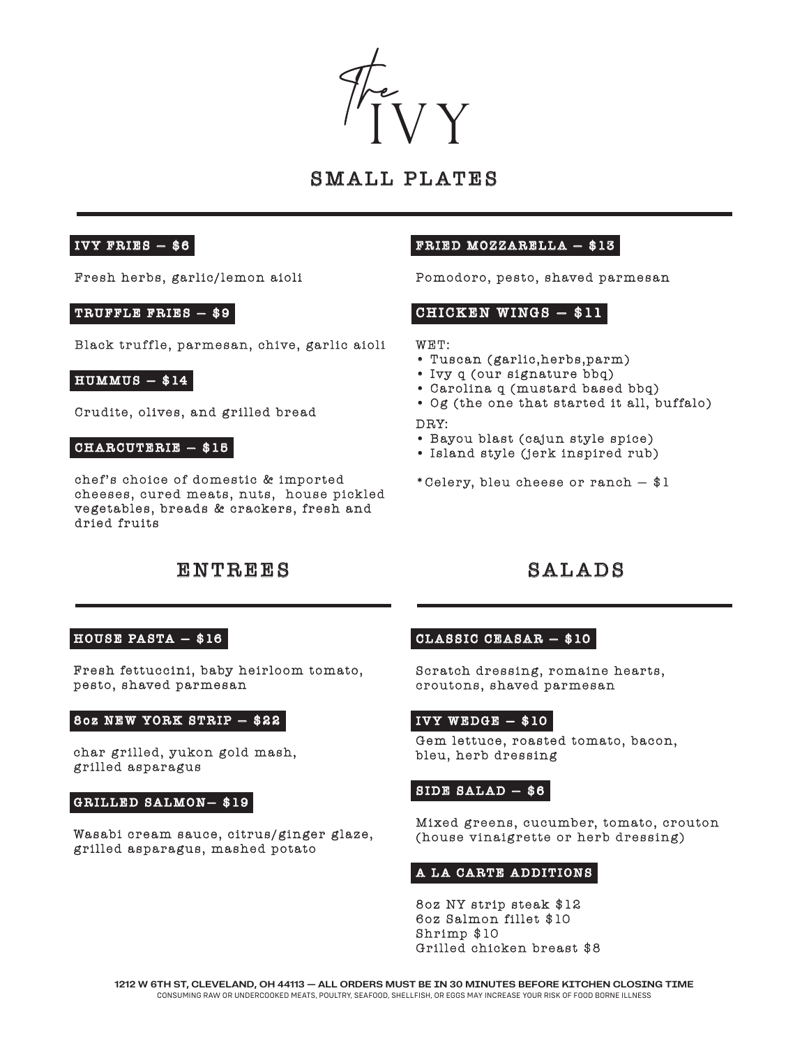

# SMALL PLATES

# IVY FRIES  $-$  \$6

Fresh herbs, garlic/lemon aioli

## TRUFFLE FRIES — \$9

Black truffle, parmesan, chive, garlic aioli

### $H$  UMMUS  $-$  \$14

Crudite, olives, and grilled bread

#### CHARCUTERIE — \$15

chef's choice of domestic & imported cheeses, cured meats, nuts, house pickled vegetables, breads & crackers, fresh and dried fruits

# Pomodoro, pesto, shaved parmesan

FRIED MOZZARELLA — \$13

# CHICKEN WINGS  $-$  \$11

#### WET:

- Tuscan (garlic,herbs,parm)
- Ivy q (our signature bbq)
- Carolina q (mustard based bbq)
- Og (the one that started it all, buffalo)

#### DRY:

- Bayou blast (cajun style spice)
- Island style (jerk inspired rub)
- \*Celery, bleu cheese or ranch \$1

# ENTREES SALADS

## HOUSE PASTA  $-$  \$16

Fresh fettuccini, baby heirloom tomato, pesto, shaved parmesan

#### 8oz NEW YORK STRIP — \$22

char grilled, yukon gold mash, grilled asparagus

### GRILLED SALMON— \$19

Wasabi cream sauce, citrus/ginger glaze, grilled asparagus, mashed potato

# $CLASSIC CEBSAR - $10$

Scratch dressing, romaine hearts, croutons, shaved parmesan

# $IVY$  WEDGE  $-$  \$10

Gem lettuce, roasted tomato, bacon, bleu, herb dressing

# $SIDE$   $SALAD$   $$6$

Mixed greens, cucumber, tomato, crouton (house vinaigrette or herb dressing)

#### A LA CARTE ADDITIONS

8oz NY strip steak \$12 6oz Salmon fillet \$10 Shrimp \$10 Grilled chicken breast \$8